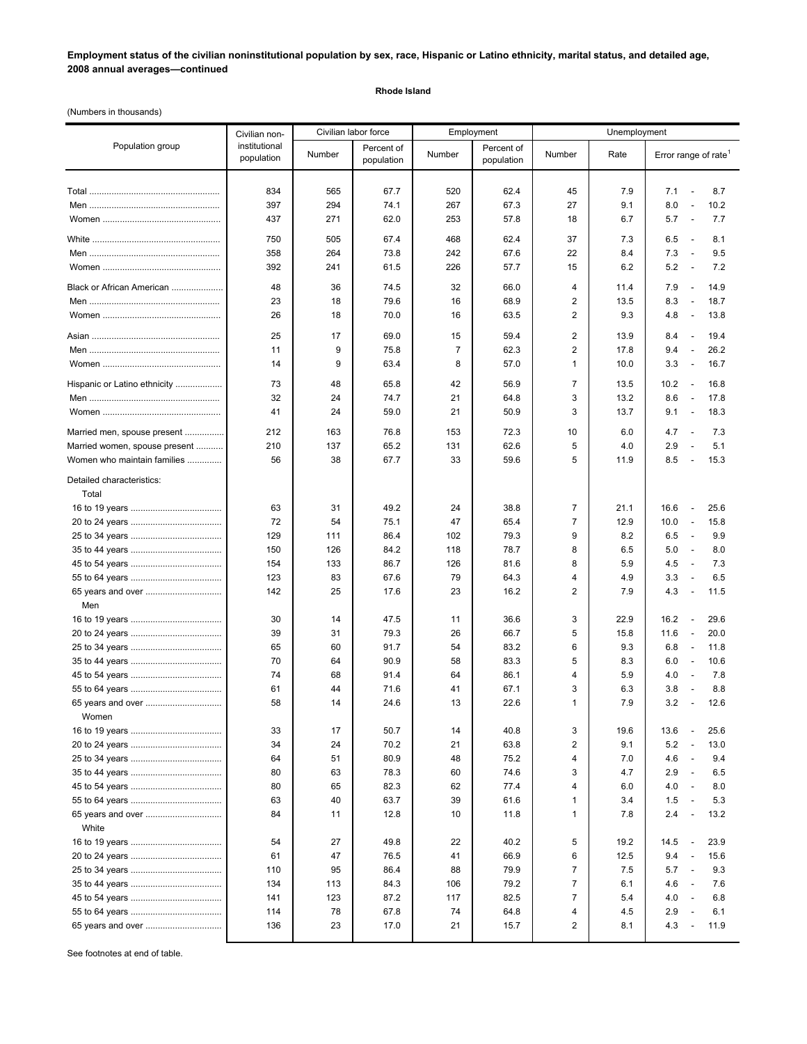**Employment status of the civilian noninstitutional population by sex, race, Hispanic or Latino ethnicity, marital status, and detailed age, 2008 annual averages—continued**

## **Rhode Island**

(Numbers in thousands)

|                                    | Civilian non-<br>institutional<br>population | Civilian labor force |                          | Employment |                          | Unemployment            |      |                                          |
|------------------------------------|----------------------------------------------|----------------------|--------------------------|------------|--------------------------|-------------------------|------|------------------------------------------|
| Population group                   |                                              | Number               | Percent of<br>population | Number     | Percent of<br>population | Number                  | Rate | Error range of rate <sup>1</sup>         |
|                                    | 834                                          | 565                  | 67.7                     | 520        | 62.4                     | 45                      | 7.9  | 8.7<br>7.1<br>$\overline{\phantom{a}}$   |
|                                    | 397                                          | 294                  | 74.1                     | 267        | 67.3                     | 27                      | 9.1  | 8.0<br>10.2<br>$\overline{\phantom{a}}$  |
|                                    | 437                                          | 271                  | 62.0                     | 253        | 57.8                     | 18                      | 6.7  | 5.7<br>7.7<br>$\overline{\phantom{a}}$   |
|                                    |                                              |                      |                          |            |                          |                         |      |                                          |
|                                    | 750                                          | 505                  | 67.4                     | 468        | 62.4                     | 37                      | 7.3  | 6.5<br>8.1<br>$\overline{\phantom{a}}$   |
|                                    | 358                                          | 264                  | 73.8                     | 242        | 67.6                     | 22                      | 8.4  | 7.3<br>$\sim$<br>9.5                     |
|                                    | 392                                          | 241                  | 61.5                     | 226        | 57.7                     | 15                      | 6.2  | 5.2<br>7.2<br>$\overline{\phantom{a}}$   |
| Black or African American          | 48                                           | 36                   | 74.5                     | 32         | 66.0                     | $\overline{4}$          | 11.4 | 7.9<br>14.9<br>$\overline{\phantom{a}}$  |
|                                    | 23                                           | 18                   | 79.6                     | 16         | 68.9                     | 2                       | 13.5 | 8.3<br>$\overline{\phantom{a}}$<br>18.7  |
|                                    | 26                                           | 18                   | 70.0                     | 16         | 63.5                     | 2                       | 9.3  | 4.8<br>13.8<br>$\overline{\phantom{a}}$  |
|                                    | 25                                           | 17                   | 69.0                     | 15         | 59.4                     | $\overline{2}$          | 13.9 | 19.4<br>8.4<br>$\sim$                    |
|                                    | 11                                           | 9                    | 75.8                     | 7          | 62.3                     | $\overline{\mathbf{c}}$ | 17.8 | 9.4<br>$\sim$<br>26.2                    |
|                                    | 14                                           | 9                    | 63.4                     | 8          | 57.0                     | 1                       | 10.0 | 3.3<br>16.7<br>$\overline{\phantom{a}}$  |
| Hispanic or Latino ethnicity       | 73                                           | 48                   | 65.8                     | 42         | 56.9                     | $\overline{7}$          | 13.5 | 10.2<br>16.8<br>$\overline{\phantom{a}}$ |
|                                    | 32                                           | 24                   | 74.7                     | 21         | 64.8                     | 3                       | 13.2 | 8.6<br>17.8<br>$\overline{a}$            |
|                                    | 41                                           | 24                   | 59.0                     | 21         | 50.9                     | 3                       | 13.7 | 9.1<br>18.3<br>$\overline{\phantom{a}}$  |
| Married men, spouse present        | 212                                          | 163                  | 76.8                     | 153        | 72.3                     | 10                      | 6.0  | 4.7<br>7.3<br>$\overline{\phantom{a}}$   |
| Married women, spouse present      | 210                                          | 137                  | 65.2                     | 131        | 62.6                     | 5                       | 4.0  | 2.9<br>5.1<br>$\overline{\phantom{a}}$   |
| Women who maintain families        | 56                                           | 38                   | 67.7                     | 33         | 59.6                     | 5                       | 11.9 | 8.5<br>15.3<br>$\overline{\phantom{a}}$  |
| Detailed characteristics:<br>Total |                                              |                      |                          |            |                          |                         |      |                                          |
|                                    | 63                                           | 31                   | 49.2                     | 24         | 38.8                     | $\overline{7}$          | 21.1 | 16.6<br>25.6<br>$\overline{\phantom{a}}$ |
|                                    | 72                                           | 54                   | 75.1                     | 47         | 65.4                     | $\overline{7}$          | 12.9 | 10.0<br>15.8<br>$\overline{a}$           |
|                                    | 129                                          | 111                  | 86.4                     | 102        | 79.3                     | 9                       | 8.2  | 6.5<br>9.9<br>$\overline{\phantom{a}}$   |
|                                    | 150                                          | 126                  | 84.2                     | 118        | 78.7                     | 8                       | 6.5  | 5.0<br>$\overline{a}$<br>8.0             |
|                                    | 154                                          | 133                  | 86.7                     | 126        | 81.6                     | 8                       | 5.9  | 4.5<br>7.3<br>$\overline{\phantom{a}}$   |
|                                    | 123                                          | 83                   | 67.6                     | 79         | 64.3                     | $\overline{4}$          | 4.9  | 3.3<br>6.5<br>$\overline{\phantom{a}}$   |
| 65 years and over                  | 142                                          | 25                   | 17.6                     | 23         | 16.2                     | 2                       | 7.9  | 4.3<br>11.5<br>$\overline{\phantom{a}}$  |
| Men                                |                                              |                      |                          |            |                          |                         |      |                                          |
|                                    | 30                                           | 14                   | 47.5                     | 11         | 36.6                     | 3                       | 22.9 | 16.2<br>29.6<br>$\overline{\phantom{a}}$ |
|                                    | 39                                           | 31                   | 79.3                     | 26         | 66.7                     | 5                       | 15.8 | 11.6<br>$\overline{\phantom{a}}$<br>20.0 |
|                                    | 65                                           | 60                   | 91.7                     | 54         | 83.2                     | 6                       | 9.3  | 6.8<br>11.8<br>$\overline{\phantom{a}}$  |
|                                    | 70                                           | 64                   | 90.9                     | 58         | 83.3                     | 5                       | 8.3  | 6.0<br>10.6<br>$\overline{\phantom{a}}$  |
|                                    | 74                                           | 68                   | 91.4                     | 64         | 86.1                     | 4                       | 5.9  | 4.0<br>7.8<br>$\overline{\phantom{a}}$   |
|                                    | 61                                           | 44                   | 71.6                     | 41         | 67.1                     | 3                       | 6.3  | 3.8<br>8.8<br>$\overline{\phantom{a}}$   |
|                                    | 58                                           | 14                   | 24.6                     | 13         | 22.6                     | 1                       | 7.9  | 3.2<br>12.6<br>$\overline{\phantom{a}}$  |
| Women                              |                                              |                      |                          |            |                          |                         |      |                                          |
|                                    | 33                                           | 17                   | 50.7                     | 14         | 40.8                     | 3                       | 19.6 | 25.6<br>13.6<br>$\overline{\phantom{a}}$ |
|                                    | 34                                           | 24                   | 70.2                     | 21         | 63.8                     | $\overline{c}$          | 9.1  | 5.2<br>13.0<br>$\overline{\phantom{a}}$  |
|                                    | 64                                           | 51                   | 80.9                     | 48         | 75.2                     | 4                       | 7.0  | 4.6<br>9.4<br>$\overline{\phantom{a}}$   |
|                                    | 80                                           | 63                   | 78.3                     | 60         | 74.6                     | 3                       | 4.7  | 2.9<br>6.5<br>$\overline{\phantom{a}}$   |
|                                    | 80                                           | 65                   | 82.3                     | 62         | 77.4                     | 4                       | 6.0  | 4.0<br>8.0<br>$\overline{a}$             |
|                                    | 63                                           | 40                   | 63.7                     | 39         | 61.6                     | 1                       | 3.4  | 1.5<br>5.3<br>$\overline{\phantom{a}}$   |
| 65 years and over<br>White         | 84                                           | 11                   | 12.8                     | 10         | 11.8                     | 1                       | 7.8  | 2.4<br>13.2<br>$\overline{\phantom{a}}$  |
|                                    | 54                                           | 27                   | 49.8                     | 22         | 40.2                     | 5                       | 19.2 | 14.5<br>23.9<br>$\overline{a}$           |
|                                    | 61                                           | 47                   | 76.5                     | 41         | 66.9                     | 6                       | 12.5 | 9.4<br>15.6<br>$\overline{\phantom{a}}$  |
|                                    | 110                                          | 95                   | 86.4                     | 88         | 79.9                     | $\overline{7}$          | 7.5  | 5.7<br>9.3<br>$\overline{\phantom{a}}$   |
|                                    | 134                                          | 113                  | 84.3                     | 106        | 79.2                     | $\overline{7}$          | 6.1  | 4.6<br>7.6<br>$\overline{\phantom{a}}$   |
|                                    | 141                                          | 123                  | 87.2                     | 117        | 82.5                     | $\overline{7}$          | 5.4  | 4.0<br>6.8<br>$\overline{\phantom{a}}$   |
|                                    | 114                                          | 78                   | 67.8                     | 74         | 64.8                     | 4                       | 4.5  | 2.9<br>6.1<br>$\overline{\phantom{a}}$   |
| 65 years and over                  | 136                                          | 23                   | 17.0                     | 21         | 15.7                     | $\overline{2}$          | 8.1  | 4.3<br>11.9<br>$\overline{\phantom{a}}$  |
|                                    |                                              |                      |                          |            |                          |                         |      |                                          |

See footnotes at end of table.